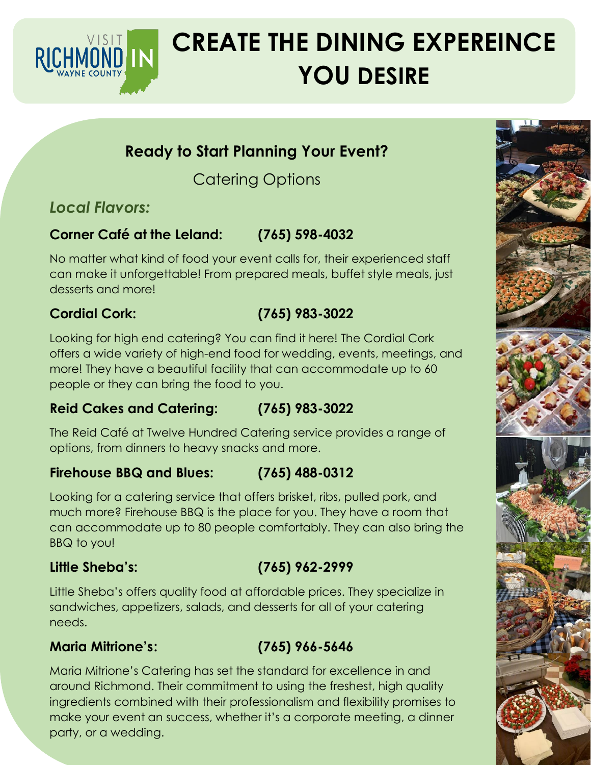

# **CREATE THE DINING EXPEREINCE YOU DESIRE**

# **Ready to Start Planning Your Event?**

Catering Options

# *Local Flavors:*

# **Corner Café at the Leland: (765) 598-4032**

No matter what kind of food your event calls for, their experienced staff can make it unforgettable! From prepared meals, buffet style meals, just desserts and more!

# **Cordial Cork: (765) 983-3022**

Looking for high end catering? You can find it here! The Cordial Cork offers a wide variety of high-end food for wedding, events, meetings, and more! They have a beautiful facility that can accommodate up to 60 people or they can bring the food to you.

### **Reid Cakes and Catering: (765) 983-3022**

The Reid Café at Twelve Hundred Catering service provides a range of options, from dinners to heavy snacks and more.

### **Firehouse BBQ and Blues: (765) 488-0312**

Looking for a catering service that offers brisket, ribs, pulled pork, and much more? Firehouse BBQ is the place for you. They have a room that can accommodate up to 80 people comfortably. They can also bring the BBQ to you!

## **Little Sheba's: (765) 962-2999**

Little Sheba's offers quality food at affordable prices. They specialize in sandwiches, appetizers, salads, and desserts for all of your catering needs.

### **Maria Mitrione's: (765) 966-5646**

Maria Mitrione's Catering has set the standard for excellence in and around Richmond. Their commitment to using the freshest, high quality ingredients combined with their professionalism and flexibility promises to make your event an success, whether it's a corporate meeting, a dinner party, or a wedding.